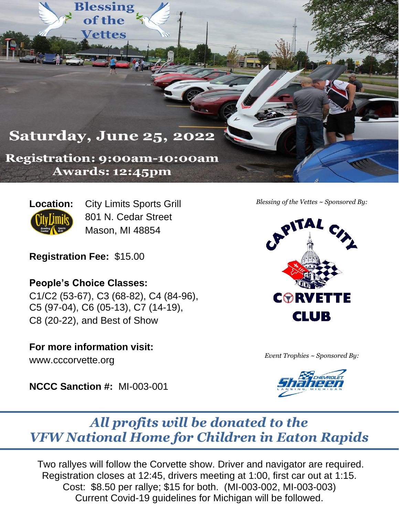**Saturday, June 25, 2022** 

**Blessing** of the

**Vettes** 

**Registration: 9:00am-10:00am** Awards: 12:45pm

**Location:** City Limits Sports Grill 801 N. Cedar Street Mason, MI 48854

**Registration Fee:** \$15.00

**People's Choice Classes:**

C1/C2 (53-67), C3 (68-82), C4 (84-96), C5 (97-04), C6 (05-13), C7 (14-19), C8 (20-22), and Best of Show

**For more information visit:**

www.cccorvette.org

**NCCC Sanction #:** MI-003-001



*Blessing of the Vettes ~ Sponsored By:*

*Event Trophies ~ Sponsored By:*



## *All profits will be donated to the VFW National Home for Children in Eaton Rapids*

Two rallyes will follow the Corvette show. Driver and navigator are required. Registration closes at 12:45, drivers meeting at 1:00, first car out at 1:15. Cost: \$8.50 per rallye; \$15 for both. (MI-003-002, MI-003-003) Current Covid-19 guidelines for Michigan will be followed.